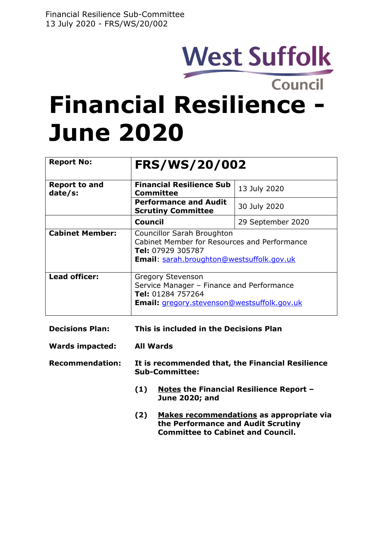# **West Suffolk**

Council

## **Financial Resilience - June 2020**

| <b>Report No:</b>               | <b>FRS/WS/20/002</b>                                                                                                                             |                   |
|---------------------------------|--------------------------------------------------------------------------------------------------------------------------------------------------|-------------------|
| <b>Report to and</b><br>date/s: | <b>Financial Resilience Sub</b><br>Committee                                                                                                     | 13 July 2020      |
|                                 | <b>Performance and Audit</b><br><b>Scrutiny Committee</b>                                                                                        | 30 July 2020      |
|                                 | Council                                                                                                                                          | 29 September 2020 |
| <b>Cabinet Member:</b>          | Councillor Sarah Broughton<br>Cabinet Member for Resources and Performance<br>Tel: 07929 305787<br>Email: sarah.broughton@westsuffolk.gov.uk     |                   |
| <b>Lead officer:</b>            | <b>Gregory Stevenson</b><br>Service Manager - Finance and Performance<br>Tel: 01284 757264<br><b>Email:</b> gregory.stevenson@westsuffolk.gov.uk |                   |

| <b>Decisions Plan:</b> | This is included in the Decisions Plan |
|------------------------|----------------------------------------|
|                        |                                        |

- **Wards impacted: All Wards**
- **Recommendation: It is recommended that, the Financial Resilience Sub-Committee:**
	- **(1) Notes the Financial Resilience Report – June 2020; and**
	- **(2) Makes recommendations as appropriate via the Performance and Audit Scrutiny Committee to Cabinet and Council.**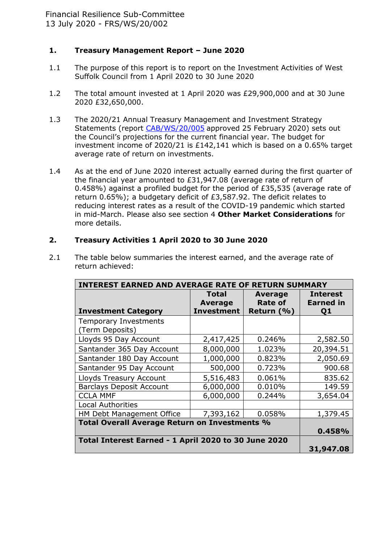## **1. Treasury Management Report – June 2020**

- 1.1 The purpose of this report is to report on the Investment Activities of West Suffolk Council from 1 April 2020 to 30 June 2020
- 1.2 The total amount invested at 1 April 2020 was £29,900,000 and at 30 June 2020 £32,650,000.
- 1.3 The 2020/21 Annual Treasury Management and Investment Strategy Statements (report [CAB/WS/20/005](https://democracy.westsuffolk.gov.uk/documents/s36527/COU.WS.20.005%20Budget%20and%20Council%20Tax%20Setting%202020-21%20and%20Medium%20Term%20Financial%20Strategy%202020-2024.pdf) approved 25 February 2020) sets out the Council's projections for the current financial year. The budget for investment income of 2020/21 is £142,141 which is based on a 0.65% target average rate of return on investments.
- 1.4 As at the end of June 2020 interest actually earned during the first quarter of the financial year amounted to £31,947.08 (average rate of return of 0.458%) against a profiled budget for the period of £35,535 (average rate of return 0.65%); a budgetary deficit of £3,587.92. The deficit relates to reducing interest rates as a result of the COVID-19 pandemic which started in mid-March. Please also see section 4 **Other Market Considerations** for more details.

## **2. Treasury Activities 1 April 2020 to 30 June 2020**

| <b>INTEREST EARNED AND AVERAGE RATE OF RETURN SUMMARY</b> |                                                     |                                                |                                                       |
|-----------------------------------------------------------|-----------------------------------------------------|------------------------------------------------|-------------------------------------------------------|
| <b>Investment Category</b>                                | <b>Total</b><br><b>Average</b><br><b>Investment</b> | <b>Average</b><br><b>Rate of</b><br>Return (%) | <b>Interest</b><br><b>Earned in</b><br>Q <sub>1</sub> |
| <b>Temporary Investments</b><br>(Term Deposits)           |                                                     |                                                |                                                       |
| Lloyds 95 Day Account                                     | 2,417,425                                           | 0.246%                                         | 2,582.50                                              |
| Santander 365 Day Account                                 | 8,000,000                                           | 1.023%                                         | 20,394.51                                             |
| Santander 180 Day Account                                 | 1,000,000                                           | 0.823%                                         | 2,050.69                                              |
| Santander 95 Day Account                                  | 500,000                                             | 0.723%                                         | 900.68                                                |
| Lloyds Treasury Account                                   | 5,516,483                                           | 0.061%                                         | 835.62                                                |
| <b>Barclays Deposit Account</b>                           | 6,000,000                                           | 0.010%                                         | 149.59                                                |
| <b>CCLA MMF</b>                                           | 6,000,000                                           | 0.244%                                         | 3,654.04                                              |
| <b>Local Authorities</b>                                  |                                                     |                                                |                                                       |
| HM Debt Management Office                                 | 7,393,162                                           | 0.058%                                         | 1,379.45                                              |
| Total Overall Average Return on Investments %             |                                                     |                                                | 0.458%                                                |
| Total Interest Earned - 1 April 2020 to 30 June 2020      |                                                     |                                                | 31,947.08                                             |

2.1 The table below summaries the interest earned, and the average rate of return achieved: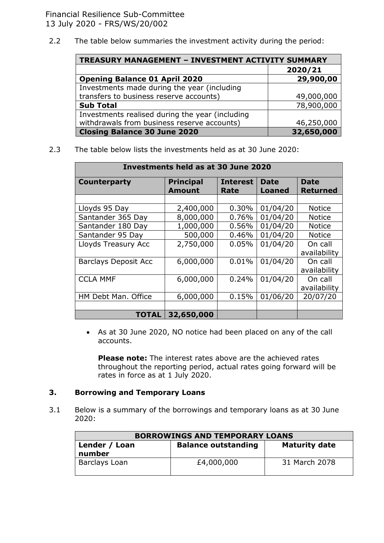Financial Resilience Sub-Committee 13 July 2020 - FRS/WS/20/002

2.2 The table below summaries the investment activity during the period:

| <b>TREASURY MANAGEMENT - INVESTMENT ACTIVITY SUMMARY</b> |            |  |
|----------------------------------------------------------|------------|--|
|                                                          | 2020/21    |  |
| <b>Opening Balance 01 April 2020</b>                     | 29,900,00  |  |
| Investments made during the year (including              |            |  |
| transfers to business reserve accounts)                  | 49,000,000 |  |
| <b>Sub Total</b>                                         | 78,900,000 |  |
| Investments realised during the year (including          |            |  |
| withdrawals from business reserve accounts)              | 46,250,000 |  |
| <b>Closing Balance 30 June 2020</b>                      | 32,650,000 |  |

2.3 The table below lists the investments held as at 30 June 2020:

| Investments held as at 30 June 2020 |                                   |                         |                       |                                |
|-------------------------------------|-----------------------------------|-------------------------|-----------------------|--------------------------------|
| Counterparty                        | <b>Principal</b><br><b>Amount</b> | <b>Interest</b><br>Rate | <b>Date</b><br>Loaned | <b>Date</b><br><b>Returned</b> |
|                                     |                                   |                         |                       |                                |
| Lloyds 95 Day                       | 2,400,000                         | 0.30%                   | 01/04/20              | <b>Notice</b>                  |
| Santander 365 Day                   | 8,000,000                         | 0.76%                   | 01/04/20              | <b>Notice</b>                  |
| Santander 180 Day                   | 1,000,000                         | 0.56%                   | 01/04/20              | <b>Notice</b>                  |
| Santander 95 Day                    | 500,000                           | 0.46%                   | 01/04/20              | <b>Notice</b>                  |
| Lloyds Treasury Acc                 | 2,750,000                         | 0.05%                   | 01/04/20              | On call<br>availability        |
| <b>Barclays Deposit Acc</b>         | 6,000,000                         | 0.01%                   | 01/04/20              | On call<br>availability        |
| <b>CCLA MMF</b>                     | 6,000,000                         | 0.24%                   | 01/04/20              | On call<br>availability        |
| HM Debt Man. Office                 | 6,000,000                         | 0.15%                   | 01/06/20              | 20/07/20                       |
|                                     |                                   |                         |                       |                                |
| TOTAL                               | 32,650,000                        |                         |                       |                                |

 As at 30 June 2020, NO notice had been placed on any of the call accounts.

**Please note:** The interest rates above are the achieved rates throughout the reporting period, actual rates going forward will be rates in force as at 1 July 2020.

#### **3. Borrowing and Temporary Loans**

3.1 Below is a summary of the borrowings and temporary loans as at 30 June 2020:

| <b>BORROWINGS AND TEMPORARY LOANS</b> |                            |                      |
|---------------------------------------|----------------------------|----------------------|
| Lender / Loan<br>number               | <b>Balance outstanding</b> | <b>Maturity date</b> |
| Barclays Loan                         | £4,000,000                 | 31 March 2078        |